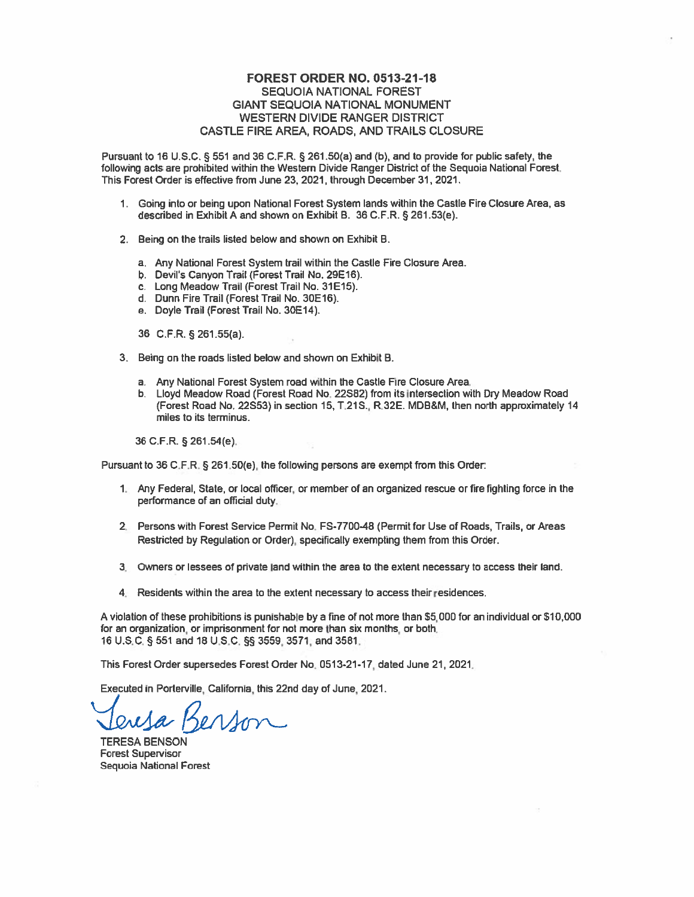## **FOREST ORDER NO. 0513-21-18 SEQUOIA NATIONAL FOREST GIANT SEQUOIA NATIONAL MONUMENT WESTERN DIVIDE RANGER DISTRICT** CASTLE FIRE AREA, ROADS, AND TRAILS CLOSURE

Pursuant to 16 U.S.C. § 551 and 36 C.F.R. § 261.50(a) and (b), and to provide for public safety, the following acts are prohibited within the Western Divide Ranger District of the Sequoia National Forest. This Forest Order is effective from June 23, 2021, through December 31, 2021.

- 1. Going into or being upon National Forest System lands within the Castle Fire Closure Area, as described in Exhibit A and shown on Exhibit B. 36 C.F.R. § 261.53(e).
- 2. Being on the trails listed below and shown on Exhibit B.
	- a. Any National Forest System trail within the Castle Fire Closure Area.
	- b. Devil's Canyon Trail (Forest Trail No. 29E16).
	- c. Long Meadow Trail (Forest Trail No. 31E15).
	- d. Dunn Fire Trail (Forest Trail No. 30E16).
	- e. Doyle Trail (Forest Trail No. 30E14).
	- 36 C.F.R. § 261.55(a).
- 3. Being on the roads listed below and shown on Exhibit B.
	- a. Any National Forest System road within the Castle Fire Closure Area.
	- b. Lloyd Meadow Road (Forest Road No. 22S82) from its intersection with Dry Meadow Road (Forest Road No. 22S53) in section 15, T.21S., R.32E. MDB&M, then north approximately 14 miles to its terminus.

36 C.F.R. § 261.54(e).

Pursuant to 36 C.F.R. § 261.50(e), the following persons are exempt from this Order:

- 1. Any Federal, State, or local officer, or member of an organized rescue or fire fighting force in the performance of an official duty.
- 2. Persons with Forest Service Permit No. FS-7700-48 (Permit for Use of Roads, Trails, or Areas Restricted by Regulation or Order), specifically exempting them from this Order.
- 3. Owners or lessees of private land within the area to the extent necessary to access their land.
- 4. Residents within the area to the extent necessary to access their residences.

A violation of these prohibitions is punishable by a fine of not more than \$5,000 for an individual or \$10,000 for an organization, or imprisonment for not more than six months, or both. 16 U.S.C. § 551 and 18 U.S.C. §§ 3559, 3571, and 3581.

This Forest Order supersedes Forest Order No. 0513-21-17, dated June 21, 2021.

Executed in Porterville, California, this 22nd day of June, 2021.

Kerson

**TERESA BENSON Forest Supervisor** Sequoia National Forest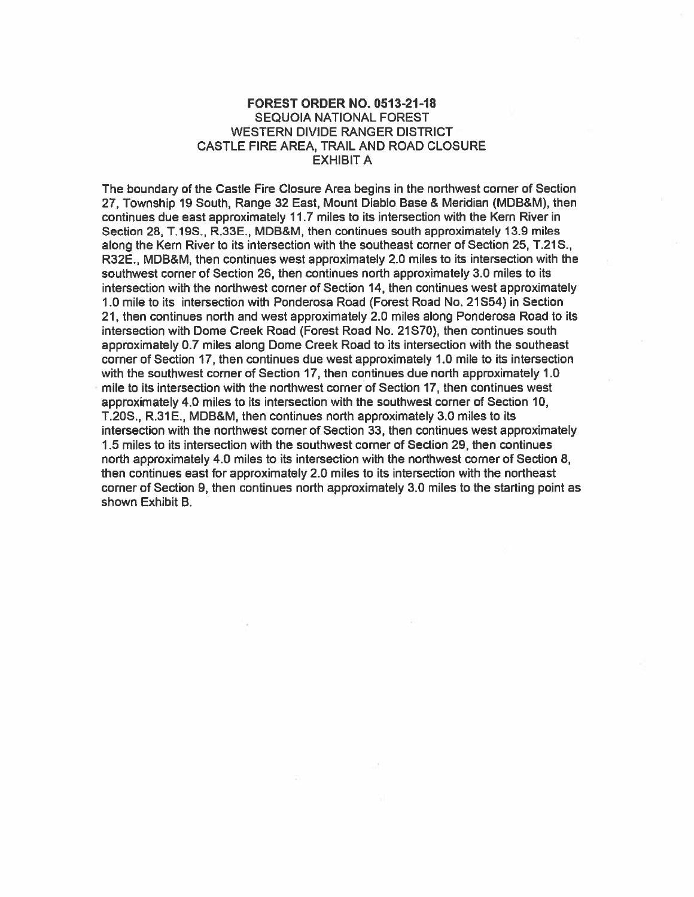## **FOREST ORDER NO. 0513-21-18 SEQUOIA NATIONAL FOREST WESTERN DIVIDE RANGER DISTRICT** CASTLE FIRE AREA, TRAIL AND ROAD CLOSURE **EXHIBIT A**

The boundary of the Castle Fire Closure Area begins in the northwest corner of Section 27. Township 19 South, Range 32 East, Mount Diablo Base & Meridian (MDB&M), then continues due east approximately 11.7 miles to its intersection with the Kern River in Section 28, T.19S., R.33E., MDB&M, then continues south approximately 13.9 miles along the Kern River to its intersection with the southeast corner of Section 25, T.21S., R32E., MDB&M, then continues west approximately 2.0 miles to its intersection with the southwest corner of Section 26, then continues north approximately 3.0 miles to its intersection with the northwest corner of Section 14, then continues west approximately 1.0 mile to its intersection with Ponderosa Road (Forest Road No. 21S54) in Section 21, then continues north and west approximately 2.0 miles along Ponderosa Road to its intersection with Dome Creek Road (Forest Road No. 21S70), then continues south approximately 0.7 miles along Dome Creek Road to its intersection with the southeast corner of Section 17, then continues due west approximately 1.0 mile to its intersection with the southwest corner of Section 17, then continues due north approximately 1.0 mile to its intersection with the northwest corner of Section 17, then continues west approximately 4.0 miles to its intersection with the southwest corner of Section 10, T.20S., R.31E., MDB&M, then continues north approximately 3.0 miles to its intersection with the northwest corner of Section 33, then continues west approximately 1.5 miles to its intersection with the southwest corner of Section 29, then continues north approximately 4.0 miles to its intersection with the northwest corner of Section 8, then continues east for approximately 2.0 miles to its intersection with the northeast corner of Section 9, then continues north approximately 3.0 miles to the starting point as shown Exhibit B.